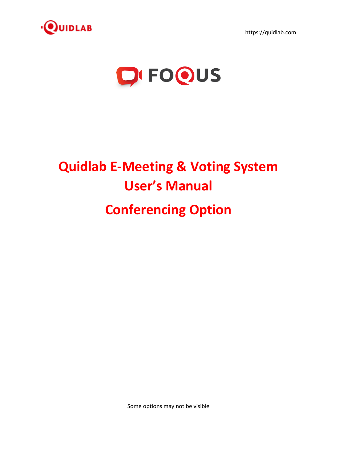

https://quidlab.com



# **Quidlab E-Meeting & Voting System User's Manual Conferencing Option**

Some options may not be visible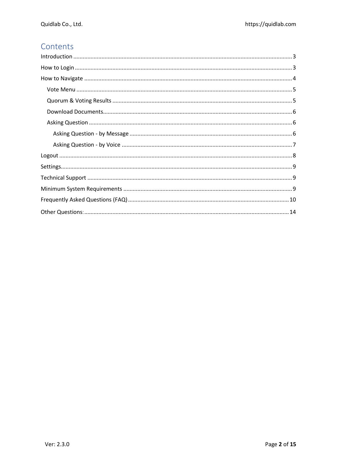# Contents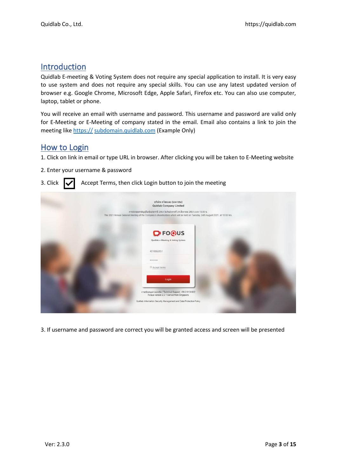# <span id="page-2-0"></span>Introduction

Quidlab E-meeting & Voting System does not require any special application to install. It is very easy to use system and does not require any special skills. You can use any latest updated version of browser e.g. Google Chrome, Microsoft Edge, Apple Safari, Firefox etc. You can also use computer, laptop, tablet or phone.

You will receive an email with username and password. This username and password are valid only for E-Meeting or E-Meeting of company stated in the email. Email also contains a link to join the meeting like https:// [subdomain.quidlab.com](https://sub.quidlab.com/) (Example Only)

# <span id="page-2-1"></span>How to Login

- 1. Click on link in email or type URL in browser. After clicking you will be taken to E-Meeting website
- 2. Enter your username & password

## 3. Click  $\mathbf{V}$  Accept Terms, then click Login button to join the meeting

| บริษัท ควิดแลบ (มหาชน)<br><b>Quidlab Company Limited</b>                                                                                                                                                          |
|-------------------------------------------------------------------------------------------------------------------------------------------------------------------------------------------------------------------|
| การประชุมสามัญผู้ถือหุ้นประจำปี 2564 ในวันอังคารที่ 24 สิงหาคม 2564 เวลา 13.00 น.<br>The 2021 Annual General Meeting of the Company's shareholders which will be held on Tuesday, 24th August 2021, at 13:00 hrs. |
|                                                                                                                                                                                                                   |
| <b>Q'FO@US</b>                                                                                                                                                                                                    |
| Quidlab e-Meeting & Voting System                                                                                                                                                                                 |
| 4010066951                                                                                                                                                                                                        |
|                                                                                                                                                                                                                   |
| Accept terms                                                                                                                                                                                                      |
| Login                                                                                                                                                                                                             |
| การสนับสนุนทางเทคนิค / Technical Support: +66-2-0134322<br>FoQus version 2.2.1 Served from Singapore                                                                                                              |
| Quidlab Information Security Management and Data Protection Policy                                                                                                                                                |
|                                                                                                                                                                                                                   |

3. If username and password are correct you will be granted access and screen will be presented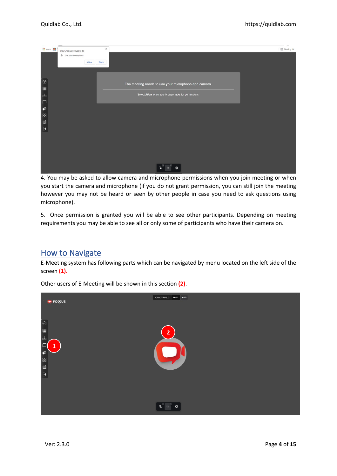| 田 Apps 图<br>$\times$<br>inset.foqus.vc wants to                        | [1] Reading list |
|------------------------------------------------------------------------|------------------|
| Use your microphone                                                    |                  |
| Allow<br><b>Block</b>                                                  |                  |
|                                                                        |                  |
|                                                                        |                  |
|                                                                        |                  |
|                                                                        |                  |
| $\circledcirc$<br>The meeting needs to use your microphone and camera. |                  |
|                                                                        |                  |
| 山<br>Select Allow when your browser asks for permissions.              |                  |
|                                                                        |                  |
| $\Box$                                                                 |                  |
| $\mathfrak{G}$                                                         |                  |
|                                                                        |                  |
| 88                                                                     |                  |
| $\blacksquare$                                                         |                  |
| $\Theta$                                                               |                  |
|                                                                        |                  |
|                                                                        |                  |
|                                                                        |                  |
|                                                                        |                  |
|                                                                        |                  |
|                                                                        |                  |
|                                                                        |                  |
|                                                                        |                  |
| 裕                                                                      |                  |

4. You may be asked to allow camera and microphone permissions when you join meeting or when you start the camera and microphone (if you do not grant permission, you can still join the meeting however you may not be heard or seen by other people in case you need to ask questions using microphone).

5. Once permission is granted you will be able to see other participants. Depending on meeting requirements you may be able to see all or only some of participants who have their camera on.

# <span id="page-3-0"></span>How to Navigate

E-Meeting system has following parts which can be navigated by menu located on the left side of the screen **(1).**

| $\bullet$ FO@US                                                                        | QUIDTRIAL 3 00:03 AUD |
|----------------------------------------------------------------------------------------|-----------------------|
| $\circledcirc$<br>$\mathbf{E}$<br>山<br>$\overline{\mathbf{1}}$<br>$\bullet$<br>88<br>E | $\overline{2}$        |
| $\Theta$                                                                               | 图<br>罗<br>發           |

Other users of E-Meeting will be shown in this section **(2)**.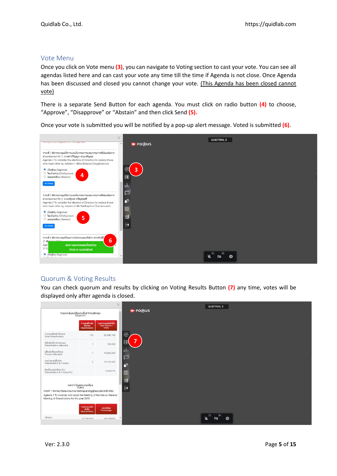## <span id="page-4-0"></span>Vote Menu

Once you click on Vote menu **(3)**, you can navigate to Voting section to cast your vote. You can see all agendas listed here and can cast your vote any time till the time if Agenda is not close. Once Agenda has been discussed and closed you cannot change your vote. (This Agenda has been closed cannot vote)

There is a separate Send Button for each agenda. You must click on radio button **(4)** to choose, "Approve", "Disapprove" or "Abstain" and then click Send **(5).**

Once your vote is submitted you will be notified by a pop-up alert message. Voted is submitted **(6)**.



# <span id="page-4-1"></span>Quorum & Voting Results

You can check quorum and results by clicking on Voting Results Button **(7)** any time, votes will be displayed only after agenda is closed.

|                                                                                                               |                                                 | $\times$                               |
|---------------------------------------------------------------------------------------------------------------|-------------------------------------------------|----------------------------------------|
|                                                                                                               | รายละเอียดผู้ถือหุ้นที่เข้าร่วมประชุม<br>Quorum |                                        |
|                                                                                                               | จำนวนผู้ถือหุ้น<br>ทั้งหมด                      | รวมจำนวนพุ้นทั้งสั้น<br>Total Shares / |
|                                                                                                               | <b>Shareholders</b>                             | Votes                                  |
| จำนวนผู้ถือหุ้นทั้งหมด<br><b>Total Shareholders</b>                                                           | 110                                             | 95,546,140                             |
| ผู้ถือหุ้นที่มาด้วยคนเอง<br>Shareholders attended                                                             | 4                                               | 150,000                                |
| ผู้ถือหุ่นที่มอบฉันทะ<br>Proxies Attended                                                                     | $\Delta$                                        | 10,000,000                             |
| รวมจำนวนผู้ถือทุ้น<br>Shareholders & Proxies                                                                  | $\overline{2}$                                  | 10,150,000                             |
| คิดเป็นเปอร์เซ็นต์ (%)<br>Shareholders & Proxies(%)                                                           |                                                 | 10.6231%                               |
|                                                                                                               | ผลการนับคะแนนเสียง<br>Votes                     |                                        |
| วาระที่ 1 พิจารณารับรองรายงานการประชุมสามัญผู้ถือหุ้นประจำปี 2562                                             |                                                 |                                        |
| Agenda 1 To consider and adopt the Meeting of the Annual General<br>Meeting of Shareholders for the year 2019 |                                                 |                                        |
|                                                                                                               |                                                 |                                        |
|                                                                                                               | รวมจำนวนพุ้น<br>ทั้งสิ้น<br><b>Shares/Votes</b> | เปอร์เซ็นด์<br>Percentage              |
| เห็นตัวย                                                                                                      | 10 150 000                                      | 100.0000%                              |
|                                                                                                               |                                                 |                                        |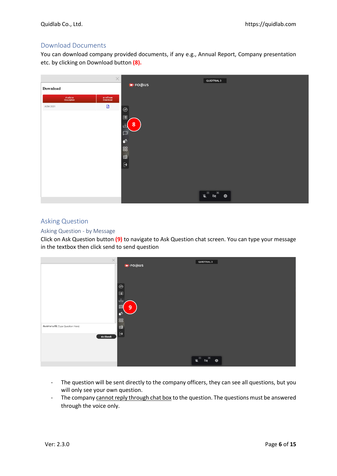# <span id="page-5-0"></span>Download Documents

You can download company provided documents, if any e.g., Annual Report, Company presentation etc. by clicking on Download button **(8).**

|          | $\times$                                          | <b>O</b> FOQUS                                                                         | <b>QUIDTRIAL 3</b>                                                                                                                                                                                                                                                                                                                                       |
|----------|---------------------------------------------------|----------------------------------------------------------------------------------------|----------------------------------------------------------------------------------------------------------------------------------------------------------------------------------------------------------------------------------------------------------------------------------------------------------------------------------------------------------|
| Download |                                                   |                                                                                        |                                                                                                                                                                                                                                                                                                                                                          |
|          | ต่าลธิบาย<br>Description<br>ตาวน์โหลด<br>Download |                                                                                        |                                                                                                                                                                                                                                                                                                                                                          |
| AGM 2021 | $\boxtimes$                                       | $_{\odot}$                                                                             |                                                                                                                                                                                                                                                                                                                                                          |
|          |                                                   | $\Xi$<br>8<br>L<br>$\Box$<br>$\mathbf{C}^{\mathbf{0}}$<br>88<br>$\square$<br>$\ominus$ |                                                                                                                                                                                                                                                                                                                                                          |
|          |                                                   |                                                                                        |                                                                                                                                                                                                                                                                                                                                                          |
|          |                                                   |                                                                                        | $\begin{picture}(180,10) \put(0,0){\line(1,0){10}} \put(10,0){\line(1,0){10}} \put(10,0){\line(1,0){10}} \put(10,0){\line(1,0){10}} \put(10,0){\line(1,0){10}} \put(10,0){\line(1,0){10}} \put(10,0){\line(1,0){10}} \put(10,0){\line(1,0){10}} \put(10,0){\line(1,0){10}} \put(10,0){\line(1,0){10}} \put(10,0){\line(1,0){10}} \put(10,0){\line($<br>♦ |
|          |                                                   |                                                                                        |                                                                                                                                                                                                                                                                                                                                                          |

# <span id="page-5-1"></span>Asking Question

#### <span id="page-5-2"></span>Asking Question - by Message

Click on Ask Question button **(9)** to navigate to Ask Question chat screen. You can type your message in the textbox then click send to send question

| $\times$                              |                                                                                            | <b>QUIDTRIAL 3</b>                                                                                                                                                                                                                                                                                                                                               |
|---------------------------------------|--------------------------------------------------------------------------------------------|------------------------------------------------------------------------------------------------------------------------------------------------------------------------------------------------------------------------------------------------------------------------------------------------------------------------------------------------------------------|
|                                       | <b>O</b> FOOUS<br>$\circledcirc$<br>$\Xi$<br>ு<br>$\overline{9}$<br>$\bullet$ <sup>3</sup> |                                                                                                                                                                                                                                                                                                                                                                  |
|                                       | 88                                                                                         |                                                                                                                                                                                                                                                                                                                                                                  |
| พิมพ์ศาลามที่นี่ (Type Question Here) | $\square$<br>$\Theta$                                                                      |                                                                                                                                                                                                                                                                                                                                                                  |
| ล่ง (Send)                            |                                                                                            |                                                                                                                                                                                                                                                                                                                                                                  |
|                                       |                                                                                            |                                                                                                                                                                                                                                                                                                                                                                  |
|                                       |                                                                                            | $\begin{picture}(180,10) \put(0,0){\line(1,0){10}} \put(10,0){\line(1,0){10}} \put(10,0){\line(1,0){10}} \put(10,0){\line(1,0){10}} \put(10,0){\line(1,0){10}} \put(10,0){\line(1,0){10}} \put(10,0){\line(1,0){10}} \put(10,0){\line(1,0){10}} \put(10,0){\line(1,0){10}} \put(10,0){\line(1,0){10}} \put(10,0){\line(1,0){10}} \put(10,0){\line($<br><b>Q3</b> |

- The question will be sent directly to the company officers, they can see all questions, but you will only see your own question.
- The company cannot reply through chat box to the question. The questions must be answered through the voice only.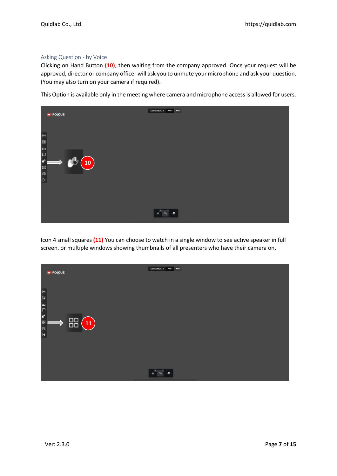#### <span id="page-6-0"></span>Asking Question - by Voice

Clicking on Hand Button **(10)**, then waiting from the company approved. Once your request will be approved, director or company officer will ask you to unmute your microphone and ask your question. (You may also turn on your camera if required).

This Option is available only in the meeting where camera and microphone access is allowed for users.



Icon 4 small squares **(11)** You can choose to watch in a single window to see active speaker in full screen. or multiple windows showing thumbnails of all presenters who have their camera on.

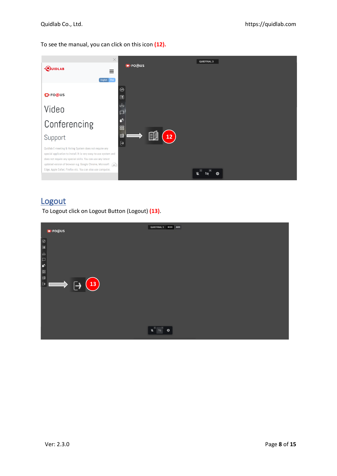To see the manual, you can click on this icon **(12).**

| $\times$<br>· <b>QUIDLAB</b><br>Ξ<br>English Thai                                                                                                                                                                                                      | <b>OFOQUS</b>                                        | <b>QUIDTRIAL 3</b> |
|--------------------------------------------------------------------------------------------------------------------------------------------------------------------------------------------------------------------------------------------------------|------------------------------------------------------|--------------------|
| <b>Q</b> <sup>I</sup> FOOUS                                                                                                                                                                                                                            | $_{\odot}$<br>圓                                      |                    |
| Video                                                                                                                                                                                                                                                  | 山                                                    |                    |
| Conferencing                                                                                                                                                                                                                                           | ல்<br>88                                             |                    |
| Support                                                                                                                                                                                                                                                | $\blacksquare$<br>Ħ<br>$12 \overline{ }$<br>$\Theta$ |                    |
| Quidlab E-meeting & Voting System does not require any<br>special application to install. It is very easy to use system and<br>does not require any special skills. You can use any latest<br>updated version of browser e.g. Google Chrome, Microsoft |                                                      |                    |
| Edge, Apple Safari, Firefox etc. You can also use computer,                                                                                                                                                                                            |                                                      | 硷<br>শৈ            |

# <span id="page-7-0"></span>**Logout**

To Logout click on Logout Button (Logout) **(13)**.

|                            | <b>DIFOQUS</b>                                     | AUD<br>QUIDTRIAL 3 00:03                                                                                                                                                                                                                                                                                                                                                         |
|----------------------------|----------------------------------------------------|----------------------------------------------------------------------------------------------------------------------------------------------------------------------------------------------------------------------------------------------------------------------------------------------------------------------------------------------------------------------------------|
| $\epsilon$                 |                                                    |                                                                                                                                                                                                                                                                                                                                                                                  |
| 山                          |                                                    |                                                                                                                                                                                                                                                                                                                                                                                  |
| $\Box$<br>$\mathfrak{G}$   |                                                    |                                                                                                                                                                                                                                                                                                                                                                                  |
| 88                         |                                                    |                                                                                                                                                                                                                                                                                                                                                                                  |
| $\blacksquare$<br>$\Theta$ | 13<br>$\longrightarrow$<br>$\overline{\mathbf{r}}$ |                                                                                                                                                                                                                                                                                                                                                                                  |
|                            |                                                    |                                                                                                                                                                                                                                                                                                                                                                                  |
|                            |                                                    |                                                                                                                                                                                                                                                                                                                                                                                  |
|                            |                                                    |                                                                                                                                                                                                                                                                                                                                                                                  |
|                            |                                                    | $\begin{picture}(20,5) \put(0,0){\vector(0,1){30}} \put(15,0){\vector(0,1){30}} \put(15,0){\vector(0,1){30}} \put(15,0){\vector(0,1){30}} \put(15,0){\vector(0,1){30}} \put(15,0){\vector(0,1){30}} \put(15,0){\vector(0,1){30}} \put(15,0){\vector(0,1){30}} \put(15,0){\vector(0,1){30}} \put(15,0){\vector(0,1){30}} \put(15,0){\vector(0,1){30}} \put(15,0){\vector(0,$<br>♦ |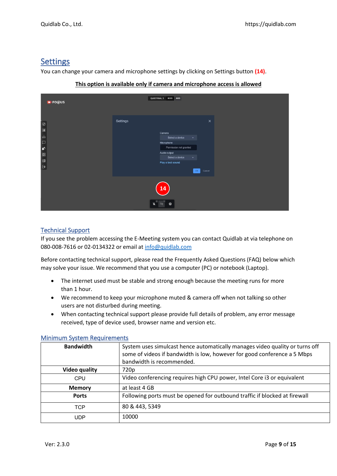# <span id="page-8-0"></span>Settings

You can change your camera and microphone settings by clicking on Settings button **(14)**.

| <b>DIFOQUS</b>                                                       |          | QUIDTRIAL 3 00:03 AUD                                                                                                                                                                                                                                                                                                                                                                                  |
|----------------------------------------------------------------------|----------|--------------------------------------------------------------------------------------------------------------------------------------------------------------------------------------------------------------------------------------------------------------------------------------------------------------------------------------------------------------------------------------------------------|
| $\circ$<br>回<br>ப<br>$\Box$<br>$\mathfrak{E}$<br>88<br>D<br>$\Theta$ | Settings | $\times$<br>Camera<br>Select a device<br>$\check{ }$<br>Microphone<br>Permission not granted<br>Audio output<br>Select a device<br>$\checkmark$<br>Play a test sound<br>Cancel<br>OK                                                                                                                                                                                                                   |
|                                                                      |          | 14<br>$\begin{picture}(20,20) \put(0,0){\vector(0,1){10}} \put(15,0){\vector(0,1){10}} \put(15,0){\vector(0,1){10}} \put(15,0){\vector(0,1){10}} \put(15,0){\vector(0,1){10}} \put(15,0){\vector(0,1){10}} \put(15,0){\vector(0,1){10}} \put(15,0){\vector(0,1){10}} \put(15,0){\vector(0,1){10}} \put(15,0){\vector(0,1){10}} \put(15,0){\vector(0,1){10}} \put(15,0){\vector(0$<br>$\mathbb{R}$<br>發 |

## **This option is available only if camera and microphone access is allowed**

# <span id="page-8-1"></span>Technical Support

If you see the problem accessing the E-Meeting system you can contact Quidlab at via telephone on 080-008-7616 or 02-0134322 or email at [info@quidlab.com](mailto:info@quidlab.com)

Before contacting technical support, please read the Frequently Asked Questions (FAQ) below which may solve your issue. We recommend that you use a computer (PC) or notebook (Laptop).

- The internet used must be stable and strong enough because the meeting runs for more than 1 hour.
- We recommend to keep your microphone muted & camera off when not talking so other users are not disturbed during meeting.
- When contacting technical support please provide full details of problem, any error message received, type of device used, browser name and version etc.

| <b>Bandwidth</b>     | System uses simulcast hence automatically manages video quality or turns off<br>some of videos if bandwidth is low, however for good conference a 5 Mbps<br>bandwidth is recommended. |
|----------------------|---------------------------------------------------------------------------------------------------------------------------------------------------------------------------------------|
| <b>Video quality</b> | 720p                                                                                                                                                                                  |
| CPU                  | Video conferencing requires high CPU power, Intel Core i3 or equivalent                                                                                                               |
| <b>Memory</b>        | at least 4 GB                                                                                                                                                                         |
| <b>Ports</b>         | Following ports must be opened for outbound traffic if blocked at firewall                                                                                                            |
| <b>TCP</b>           | 80 & 443, 5349                                                                                                                                                                        |
| UDP                  | 10000                                                                                                                                                                                 |

#### <span id="page-8-2"></span>Minimum System Requirements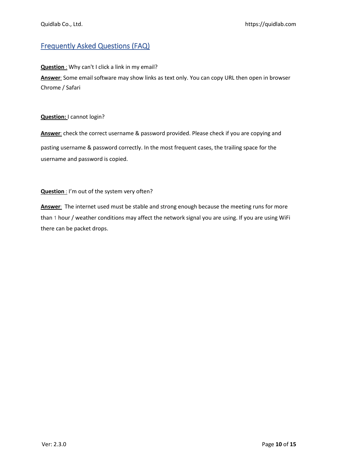# <span id="page-9-0"></span>Frequently Asked Questions (FAQ)

## **Question** : Why can't I click a link in my email?

**Answer:** Some email software may show links as text only. You can copy URL then open in browser Chrome / Safari

#### **Question:** I cannot login?

**Answer:** check the correct username & password provided. Please check if you are copying and pasting username & password correctly. In the most frequent cases, the trailing space for the username and password is copied.

## **Question :** I'm out of the system very often?

Answer: The internet used must be stable and strong enough because the meeting runs for more than 1 hour / weather conditions may affect the network signal you are using. If you are using WiFi there can be packet drops.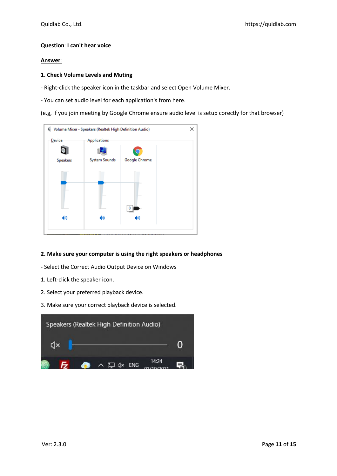#### **Question: I can't hear voice**

#### **Answer:**

#### **1. Check Volume Levels and Muting**

- Right-click the speaker icon in the taskbar and select Open Volume Mixer.

- You can set audio level for each application's from here.

(e.g, If you join meeting by Google Chrome ensure audio level is setup corectly for that browser)



#### **2. Make sure your computer is using the right speakers or headphones**

- Select the Correct Audio Output Device on Windows
- 1. Left-click the speaker icon.
- 2. Select your preferred playback device.
- 3. Make sure your correct playback device is selected.

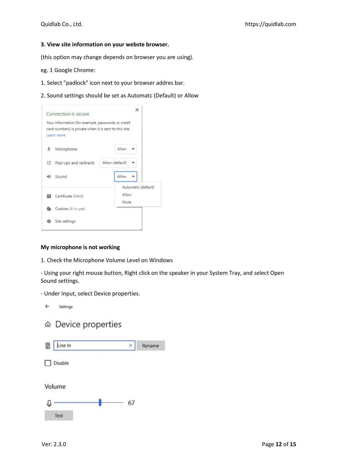#### **3. View site information on your webste browser.**

(this option may change depends on browser you are using).

- eg. 1 Google Chrome:
- 1. Select "padlock" icon next to your browser addres bar.
- 2. Sound settings should be set as Automatc (Default) or Allow



#### **My microphone is not working**

1. Check the Microphone Volume Level on Windows

- Using your right mouse button, Right click on the speaker in your System Tray, and select Open Sound settings.

- Under Input, select Device properties.
	- $\leftarrow$ Settings
	- ⋒ Device properties

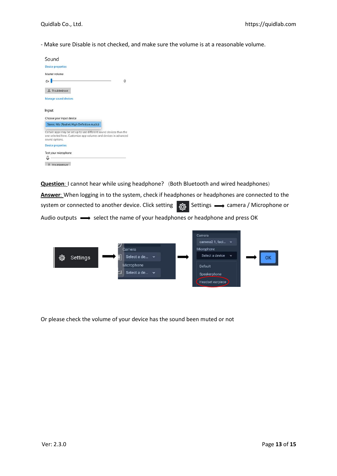- Make sure Disable is not checked, and make sure the volume is at a reasonable volume.

| Sound                                                                                                                                                                         |   |
|-------------------------------------------------------------------------------------------------------------------------------------------------------------------------------|---|
| <b>Device properties</b>                                                                                                                                                      |   |
| Master volume                                                                                                                                                                 |   |
| $\mathbf{d}$ $\times$                                                                                                                                                         | o |
| A Troubleshoot                                                                                                                                                                |   |
| Manage sound devices                                                                                                                                                          |   |
| Input                                                                                                                                                                         |   |
|                                                                                                                                                                               |   |
|                                                                                                                                                                               |   |
| Choose your input device<br>Stereo Mix (Realtek High Definition Audio)                                                                                                        |   |
|                                                                                                                                                                               |   |
| Certain apps may be set up to use different sound devices than the<br>one selected here. Customize app volumes and devices in advanced<br>sound options.<br>Device properties |   |

**Question**: I cannot hear while using headphone? (Both Bluetooth and wired headphones)

**Answer:** When logging in to the system, check if headphones or headphones are connected to the system or connected to another device. Click setting  $\frac{1}{368}$  Settings  $\longrightarrow$  camera / Microphone or Audio outputs  $\longrightarrow$  select the name of your headphones or headphone and press OK



Or please check the volume of your device has the sound been muted or not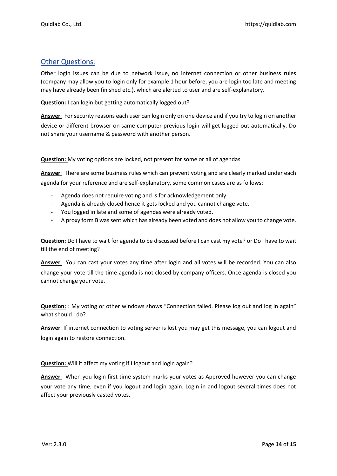# <span id="page-13-0"></span>Other Questions**:**

Other login issues can be due to network issue, no internet connection or other business rules (company may allow you to login only for example 1 hour before, you are login too late and meeting may have already been finished etc.), which are alerted to user and are self-explanatory.

**Question:** I can login but getting automatically logged out?

**Answer:** For security reasons each user can login only on one device and if you try to login on another

device or different browser on same computer previous login will get logged out automatically. Do not share your username & password with another person.

**Question:** My voting options are locked, not present for some or all of agendas.

Answer: There are some business rules which can prevent voting and are clearly marked under each agenda for your reference and are self-explanatory, some common cases are as follows:

- Agenda does not require voting and is for acknowledgement only.
- Agenda is already closed hence it gets locked and you cannot change vote.
- You logged in late and some of agendas were already voted.
- A proxy form B was sent which has already been voted and does not allow you to change vote.

**Question:** Do I have to wait for agenda to be discussed before I can cast my vote? or Do I have to wait till the end of meeting?

**Answer:** You can cast your votes any time after login and all votes will be recorded. You can also change your vote till the time agenda is not closed by company officers. Once agenda is closed you cannot change your vote.

**Question:** : My voting or other windows shows "Connection failed. Please log out and log in again" what should I do?

**Answer:** If internet connection to voting server is lost you may get this message, you can logout and login again to restore connection.

**Question:** Will it affect my voting if I logout and login again?

**Answer:** When you login first time system marks your votes as Approved however you can change your vote any time, even if you logout and login again. Login in and logout several times does not affect your previously casted votes.